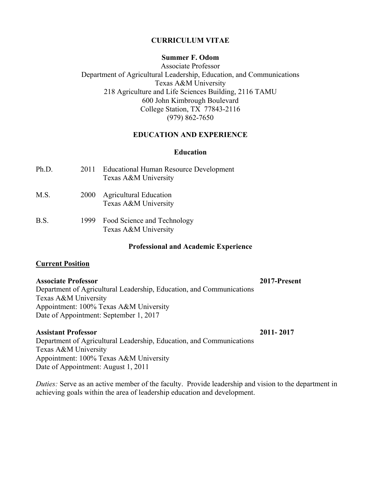# **CURRICULUM VITAE**

# **Summer F. Odom**

Associate Professor Department of Agricultural Leadership, Education, and Communications Texas A&M University 218 Agriculture and Life Sciences Building, 2116 TAMU 600 John Kimbrough Boulevard College Station, TX 77843-2116 (979) 862-7650

# **EDUCATION AND EXPERIENCE**

# **Education**

| Ph.D. | 2011 | <b>Educational Human Resource Development</b><br>Texas A&M University |
|-------|------|-----------------------------------------------------------------------|
| M.S.  | 2000 | <b>Agricultural Education</b><br>Texas A&M University                 |
| B.S.  |      | 1999 Food Science and Technology<br>Texas A&M University              |

#### **Professional and Academic Experience**

# **Current Position**

## **Associate Professor 2017-Present**

Department of Agricultural Leadership, Education, and Communications Texas A&M University Appointment: 100% Texas A&M University Date of Appointment: September 1, 2017

# **Assistant Professor 2011- 2017**

Department of Agricultural Leadership, Education, and Communications Texas A&M University Appointment: 100% Texas A&M University Date of Appointment: August 1, 2011

*Duties:* Serve as an active member of the faculty. Provide leadership and vision to the department in achieving goals within the area of leadership education and development.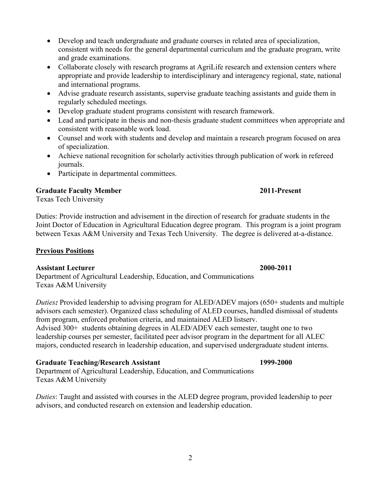- Develop and teach undergraduate and graduate courses in related area of specialization, consistent with needs for the general departmental curriculum and the graduate program, write and grade examinations.
- Collaborate closely with research programs at AgriLife research and extension centers where appropriate and provide leadership to interdisciplinary and interagency regional, state, national and international programs.
- Advise graduate research assistants, supervise graduate teaching assistants and guide them in regularly scheduled meetings.
- Develop graduate student programs consistent with research framework.
- Lead and participate in thesis and non-thesis graduate student committees when appropriate and consistent with reasonable work load.
- Counsel and work with students and develop and maintain a research program focused on area of specialization.
- Achieve national recognition for scholarly activities through publication of work in refereed journals.
- Participate in departmental committees.

# **Graduate Faculty Member 2011-Present**

Texas Tech University

Duties: Provide instruction and advisement in the direction of research for graduate students in the Joint Doctor of Education in Agricultural Education degree program. This program is a joint program between Texas A&M University and Texas Tech University. The degree is delivered at-a-distance.

# **Previous Positions**

# **Assistant Lecturer 2000-2011**

Department of Agricultural Leadership, Education, and Communications Texas A&M University

*Duties:* Provided leadership to advising program for ALED/ADEV majors (650+ students and multiple advisors each semester). Organized class scheduling of ALED courses, handled dismissal of students from program, enforced probation criteria, and maintained ALED listserv. Advised 300+ students obtaining degrees in ALED/ADEV each semester, taught one to two leadership courses per semester, facilitated peer advisor program in the department for all ALEC majors, conducted research in leadership education, and supervised undergraduate student interns.

# **Graduate Teaching/Research Assistant 1999-2000**

Department of Agricultural Leadership, Education, and Communications Texas A&M University

*Duties*: Taught and assisted with courses in the ALED degree program, provided leadership to peer advisors, and conducted research on extension and leadership education.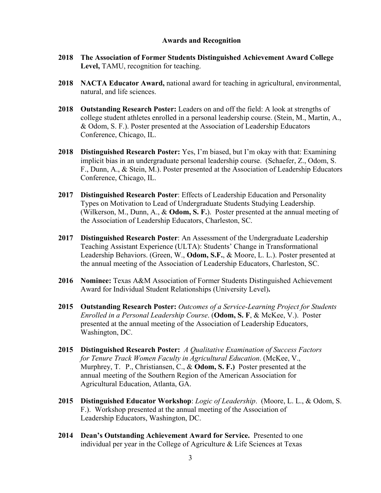#### **Awards and Recognition**

- **2018 The Association of Former Students Distinguished Achievement Award College Level,** TAMU, recognition for teaching.
- **2018 NACTA Educator Award,** national award for teaching in agricultural, environmental, natural, and life sciences.
- **2018 Outstanding Research Poster:** Leaders on and off the field: A look at strengths of college student athletes enrolled in a personal leadership course. (Stein, M., Martin, A., & Odom, S. F.). Poster presented at the Association of Leadership Educators Conference, Chicago, IL.
- **2018 Distinguished Research Poster:** Yes, I'm biased, but I'm okay with that: Examining implicit bias in an undergraduate personal leadership course. (Schaefer, Z., Odom, S. F., Dunn, A., & Stein, M.). Poster presented at the Association of Leadership Educators Conference, Chicago, IL.
- **2017 Distinguished Research Poster**: Effects of Leadership Education and Personality Types on Motivation to Lead of Undergraduate Students Studying Leadership. (Wilkerson, M., Dunn, A., & **Odom, S. F.**). Poster presented at the annual meeting of the Association of Leadership Educators, Charleston, SC.
- **2017 Distinguished Research Poster**: An Assessment of the Undergraduate Leadership Teaching Assistant Experience (ULTA): Students' Change in Transformational Leadership Behaviors. (Green, W., **Odom, S.F.**, & Moore, L. L.). Poster presented at the annual meeting of the Association of Leadership Educators, Charleston, SC.
- **2016 Nominee:** Texas A&M Association of Former Students Distinguished Achievement Award for Individual Student Relationships (University Level)**.**
- **2015 Outstanding Research Poster:** *Outcomes of a Service-Learning Project for Students Enrolled in a Personal Leadership Course*. (**Odom, S. F**, & McKee, V.). Poster presented at the annual meeting of the Association of Leadership Educators, Washington, DC.
- **2015 Distinguished Research Poster:** *A Qualitative Examination of Success Factors for Tenure Track Women Faculty in Agricultural Education*. (McKee, V., Murphrey, T. P., Christiansen, C., & **Odom, S. F.)** Poster presented at the annual meeting of the Southern Region of the American Association for Agricultural Education, Atlanta, GA.
- **2015 Distinguished Educator Workshop**: *Logic of Leadership*. (Moore, L. L., & Odom, S. F.). Workshop presented at the annual meeting of the Association of Leadership Educators, Washington, DC.
- **2014 Dean's Outstanding Achievement Award for Service.** Presented to one individual per year in the College of Agriculture & Life Sciences at Texas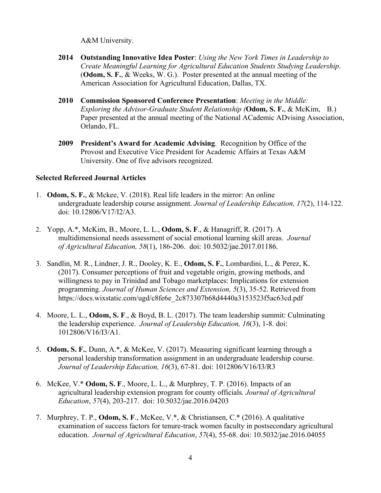A&M University.

- **2014 Outstanding Innovative Idea Poster**: *Using the New York Times in Leadership to Create Meaningful Learning for Agricultural Education Students Studying Leadership*. (**Odom, S. F.**, & Weeks, W. G.). Poster presented at the annual meeting of the American Association for Agricultural Education, Dallas, TX.
- **2010 Commission Sponsored Conference Presentation**: *Meeting in the Middle: Exploring the Advisor-Graduate Student Relationship (***Odom, S. F.**, & McKim, B.) Paper presented at the annual meeting of the National ACademic ADvising Association, Orlando, FL.
- **2009 President's Award for Academic Advising**. Recognition by Office of the Provost and Executive Vice President for Academic Affairs at Texas A&M University. One of five advisors recognized.

# **Selected Refereed Journal Articles**

- 1. **Odom, S. F.**, & Mckee, V. (2018). Real life leaders in the mirror: An online undergraduate leadership course assignment. *Journal of Leadership Education, 17*(2), 114-122. doi: 10.12806/V17/I2/A3.
- 2. Yopp, A.\*, McKim, B., Moore, L. L., **Odom, S. F**., & Hanagriff, R. (2017). A multidimensional needs assessment of social emotional learning skill areas. *Journal of Agricultural Education, 58*(1), 186-206. doi: 10.5032/jae.2017.01186.
- 3. Sandlin, M. R., Lindner, J. R., Dooley, K. E., **Odom, S. F.**, Lombardini, L., & Perez, K. (2017). Consumer perceptions of fruit and vegetable origin, growing methods, and willingness to pay in Trinidad and Tobago marketplaces: Implications for extension programming. *Journal of Human Sciences and Extension, 5*(3), 35-52. Retrieved from https://docs.wixstatic.com/ugd/c8fe6e\_2c873307b68d4440a3153523f5ac63cd.pdf
- 4. Moore, L. L., **Odom, S. F**., & Boyd, B. L. (2017). The team leadership summit: Culminating the leadership experience. *Journal of Leadership Education, 16*(3), 1-8. doi: 1012806/V16/I3/A1.
- 5. **Odom, S. F.**, Dunn, A.\*, & McKee, V. (2017). Measuring significant learning through a personal leadership transformation assignment in an undergraduate leadership course. *Journal of Leadership Education, 16*(3), 67-81. doi: 1012806/V16/I3/R3
- 6. McKee, V.\* **Odom, S. F**., Moore, L. L., & Murphrey, T. P. (2016). Impacts of an agricultural leadership extension program for county officials*. Journal of Agricultural Education*, *57*(4), 203-217. doi: 10.5032/jae.2016.04203
- 7. Murphrey, T. P., **Odom, S. F**., McKee, V.\*, & Christiansen, C.\* (2016). A qualitative examination of success factors for tenure-track women faculty in postsecondary agricultural education. *Journal of Agricultural Education*, *57*(4), 55-68. doi: 10.5032/jae.2016.04055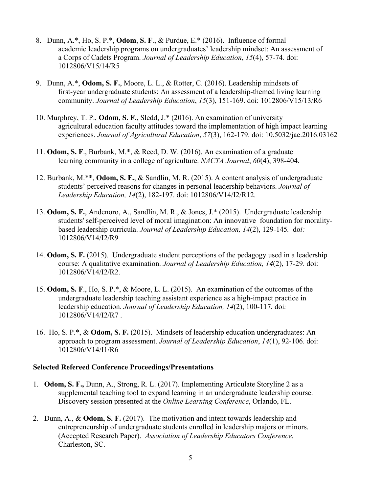- 8. Dunn, A.\*, Ho, S. P.\*, **Odom**, **S. F**., & Purdue, E.\* (2016). Influence of formal academic leadership programs on undergraduates' leadership mindset: An assessment of a Corps of Cadets Program. *Journal of Leadership Education*, *15*(4), 57-74. doi: 1012806/V15/14/R5
- 9. Dunn, A.\*, **Odom, S. F.**, Moore, L. L., & Rotter, C. (2016). Leadership mindsets of first-year undergraduate students: An assessment of a leadership-themed living learning community. *Journal of Leadership Education*, *15*(3), 151-169. doi: 1012806/V15/13/R6
- 10. Murphrey, T. P., **Odom, S. F**., Sledd, J.\* (2016). An examination of university agricultural education faculty attitudes toward the implementation of high impact learning experiences. *Journal of Agricultural Education*, *57*(3), 162-179. doi: 10.5032/jae.2016.03162
- 11. **Odom, S. F**., Burbank, M.\*, & Reed, D. W. (2016). An examination of a graduate learning community in a college of agriculture. *NACTA Journal*, *60*(4), 398-404.
- 12. Burbank, M.\*\*, **Odom, S. F.**, & Sandlin, M. R. (2015). A content analysis of undergraduate students' perceived reasons for changes in personal leadership behaviors. *Journal of Leadership Education, 14*(2), 182-197. doi: 1012806/V14/I2/R12.
- 13. **Odom, S. F.**, Andenoro, A., Sandlin, M. R., & Jones, J.\* (2015). Undergraduate leadership students' self-perceived level of moral imagination: An innovative foundation for moralitybased leadership curricula. *Journal of Leadership Education, 14*(2), 129-145*.* do*i:* 1012806/V14/I2/R9
- 14. **Odom, S. F.** (2015). Undergraduate student perceptions of the pedagogy used in a leadership course: A qualitative examination. *Journal of Leadership Education, 14*(2), 17-29. doi: 1012806/V14/I2/R2.
- 15. **Odom, S. F**., Ho, S. P.\*, & Moore, L. L. (2015). An examination of the outcomes of the undergraduate leadership teaching assistant experience as a high-impact practice in leadership education. *Journal of Leadership Education, 14*(2), 100-117*.* doi*:* 1012806/V14/I2/R7 .
- 16. Ho, S. P.\*, & **Odom, S. F.** (2015). Mindsets of leadership education undergraduates: An approach to program assessment. *Journal of Leadership Education*, *14*(1), 92-106. doi: 1012806/V14/I1/R6

# **Selected Refereed Conference Proceedings/Presentations**

- 1. **Odom, S. F.,** Dunn, A., Strong, R. L. (2017). Implementing Articulate Storyline 2 as a supplemental teaching tool to expand learning in an undergraduate leadership course. Discovery session presented at the *Online Learning Conference*, Orlando, FL.
- 2. Dunn, A., & **Odom, S. F.** (2017). The motivation and intent towards leadership and entrepreneurship of undergraduate students enrolled in leadership majors or minors. (Accepted Research Paper). *Association of Leadership Educators Conference.*  Charleston, SC.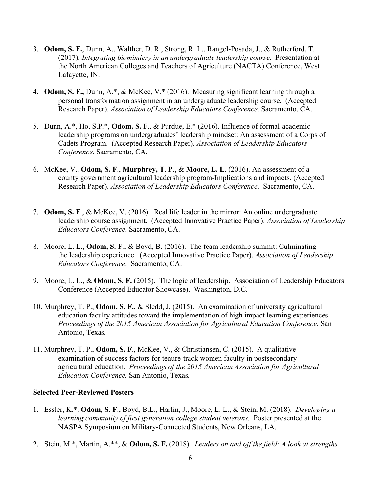- 3. **Odom, S. F.**, Dunn, A., Walther, D. R., Strong, R. L., Rangel-Posada, J., & Rutherford, T. (2017). *Integrating biomimicry in an undergraduate leadership course*. Presentation at the North American Colleges and Teachers of Agriculture (NACTA) Conference, West Lafayette, IN.
- 4. **Odom, S. F.,** Dunn, A.\*, & McKee, V.\* (2016). Measuring significant learning through a personal transformation assignment in an undergraduate leadership course. (Accepted Research Paper). *Association of Leadership Educators Conference*. Sacramento, CA.
- 5. Dunn, A.\*, Ho, S.P.\*, **Odom, S. F**., & Purdue, E.\* (2016). Influence of formal academic leadership programs on undergraduates' leadership mindset: An assessment of a Corps of Cadets Program. (Accepted Research Paper). *Association of Leadership Educators Conference*. Sacramento, CA.
- 6. McKee, V., **Odom, S. F**., **Murphrey, T**. **P**., & **Moore, L. L**. (2016). An assessment of a county government agricultural leadership program-Implications and impacts. (Accepted Research Paper). *Association of Leadership Educators Conference*. Sacramento, CA.
- 7. **Odom, S. F**., & McKee, V. (2016). Real life leader in the mirror: An online undergraduate leadership course assignment. (Accepted Innovative Practice Paper). *Association of Leadership Educators Conference*. Sacramento, CA.
- 8. Moore, L. L., **Odom, S. F**., & Boyd, B. (2016). The **t**eam leadership summit: Culminating the leadership experience. (Accepted Innovative Practice Paper). *Association of Leadership Educators Conference*. Sacramento, CA.
- 9. Moore, L. L., & **Odom, S. F.** (2015). The logic of leadership. Association of Leadership Educators Conference (Accepted Educator Showcase). Washington, D.C.
- 10. Murphrey, T. P., **Odom, S. F.**, & Sledd, J. (2015). An examination of university agricultural education faculty attitudes toward the implementation of high impact learning experiences. *Proceedings of the 2015 American Association for Agricultural Education Conference.* San Antonio, Texas*.*
- 11. Murphrey, T. P., **Odom, S. F**., McKee, V., & Christiansen, C. (2015). A qualitative examination of success factors for tenure-track women faculty in postsecondary agricultural education. *Proceedings of the 2015 American Association for Agricultural Education Conference.* San Antonio, Texas*.*

# **Selected Peer-Reviewed Posters**

- 1. Essler, K.\*, **Odom, S. F**., Boyd, B.L., Harlin, J., Moore, L. L., & Stein, M. (2018). *Developing a learning community of first generation college student veterans.* Poster presented at the NASPA Symposium on Military-Connected Students, New Orleans, LA.
- 2. Stein, M.\*, Martin, A.\*\*, & **Odom, S. F.** (2018). *Leaders on and off the field: A look at strengths*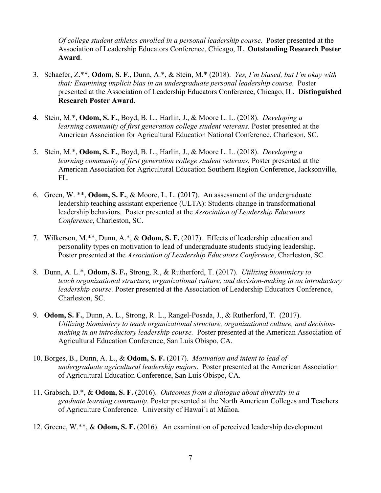*Of college student athletes enrolled in a personal leadership course*. Poster presented at the Association of Leadership Educators Conference, Chicago, IL. **Outstanding Research Poster Award**.

- 3. Schaefer, Z.\*\*, **Odom, S. F**., Dunn, A.\*, & Stein, M.\* (2018). *Yes, I'm biased, but I'm okay with that: Examining implicit bias in an undergraduate personal leadership course*. Poster presented at the Association of Leadership Educators Conference, Chicago, IL. **Distinguished Research Poster Award**.
- 4. Stein, M.\*, **Odom, S. F.**, Boyd, B. L., Harlin, J., & Moore L. L. (2018). *Developing a learning community of first generation college student veterans.* Poster presented at the American Association for Agricultural Education National Conference, Charleson, SC.
- 5. Stein, M.\*, **Odom, S. F.**, Boyd, B. L., Harlin, J., & Moore L. L. (2018). *Developing a learning community of first generation college student veterans.* Poster presented at the American Association for Agricultural Education Southern Region Conference, Jacksonville, FL.
- 6. Green, W. \*\*, **Odom, S. F.**, & Moore, L. L. (2017). An assessment of the undergraduate leadership teaching assistant experience (ULTA): Students change in transformational leadership behaviors. Poster presented at the *Association of Leadership Educators Conference*, Charleston, SC.
- 7. Wilkerson, M.\*\*, Dunn, A.\*, & **Odom, S. F.** (2017). Effects of leadership education and personality types on motivation to lead of undergraduate students studying leadership. Poster presented at the *Association of Leadership Educators Conference*, Charleston, SC.
- 8. Dunn, A. L.\*, **Odom, S. F.,** Strong, R., & Rutherford, T. (2017). *Utilizing biomimicry to teach organizational structure, organizational culture, and decision-making in an introductory leadership course.* Poster presented at the Association of Leadership Educators Conference, Charleston, SC.
- 9. **Odom, S. F.**, Dunn, A. L., Strong, R. L., Rangel-Posada, J., & Rutherford, T. (2017). *Utilizing biomimicry to teach organizational structure, organizational culture, and decisionmaking in an introductory leadership course.* Poster presented at the American Association of Agricultural Education Conference, San Luis Obispo, CA.
- 10. Borges, B., Dunn, A. L., & **Odom, S. F.** (2017). *Motivation and intent to lead of undergraduate agricultural leadership majors*. Poster presented at the American Association of Agricultural Education Conference, San Luis Obispo, CA.
- 11. Grabsch, D.\*, & **Odom, S. F.** (2016). *Outcomes from a dialogue about diversity in a graduate learning community*. Poster presented at the North American Colleges and Teachers of Agriculture Conference. University of Hawai'i at Manoa.
- 12. Greene, W.\*\*, & **Odom, S. F.** (2016). An examination of perceived leadership development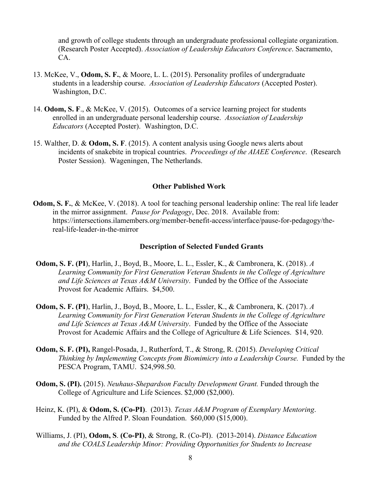and growth of college students through an undergraduate professional collegiate organization. (Research Poster Accepted). *Association of Leadership Educators Conference*. Sacramento, CA.

- 13. McKee, V., **Odom, S. F.**, & Moore, L. L. (2015). Personality profiles of undergraduate students in a leadership course. *Association of Leadership Educators* (Accepted Poster). Washington, D.C.
- 14. **Odom, S. F**., & McKee, V. (2015). Outcomes of a service learning project for students enrolled in an undergraduate personal leadership course. *Association of Leadership Educators* (Accepted Poster). Washington, D.C.
- 15. Walther, D. & **Odom, S. F**. (2015). A content analysis using Google news alerts about incidents of snakebite in tropical countries. *Proceedings of the AIAEE Conference*. (Research Poster Session). Wageningen, The Netherlands.

#### **Other Published Work**

**Odom, S. F.**, & McKee, V. (2018). A tool for teaching personal leadership online: The real life leader in the mirror assignment. *Pause for Pedagogy*, Dec. 2018. Available from: https://intersections.ilamembers.org/member-benefit-access/interface/pause-for-pedagogy/thereal-life-leader-in-the-mirror

#### **Description of Selected Funded Grants**

- **Odom, S. F. (PI**), Harlin, J., Boyd, B., Moore, L. L., Essler, K., & Cambronera, K. (2018). *A Learning Community for First Generation Veteran Students in the College of Agriculture and Life Sciences at Texas A&M University*. Funded by the Office of the Associate Provost for Academic Affairs. \$4,500.
- **Odom, S. F. (PI**), Harlin, J., Boyd, B., Moore, L. L., Essler, K., & Cambronera, K. (2017). *A Learning Community for First Generation Veteran Students in the College of Agriculture and Life Sciences at Texas A&M University*. Funded by the Office of the Associate Provost for Academic Affairs and the College of Agriculture & Life Sciences. \$14, 920.
- **Odom, S. F. (PI),** Rangel-Posada, J., Rutherford, T., & Strong, R. (2015). *Developing Critical Thinking by Implementing Concepts from Biomimicry into a Leadership Course.* Funded by the PESCA Program, TAMU. \$24,998.50.
- **Odom, S. (PI).** (2015). *Neuhaus-Shepardson Faculty Development Grant.* Funded through the College of Agriculture and Life Sciences. \$2,000 (\$2,000).
- Heinz, K. (PI), & **Odom, S. (Co-PI)**. (2013). *Texas A&M Program of Exemplary Mentoring*. Funded by the Alfred P. Sloan Foundation. \$60,000 (\$15,000).
- Williams, J. (PI), **Odom, S**. **(Co-PI)**, & Strong, R. (Co-PI). (2013-2014). *Distance Education and the COALS Leadership Minor: Providing Opportunities for Students to Increase*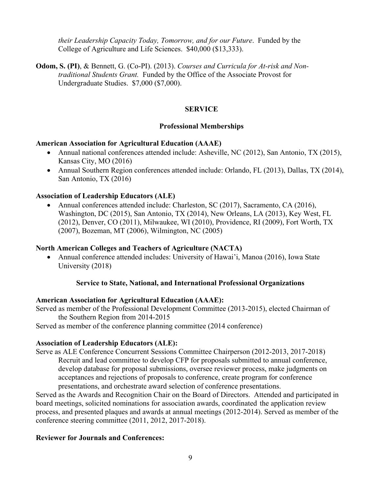*their Leadership Capacity Today, Tomorrow, and for our Future*. Funded by the College of Agriculture and Life Sciences. \$40,000 (\$13,333).

**Odom, S. (PI)**, & Bennett, G. (Co-PI). (2013). *Courses and Curricula for At-risk and Nontraditional Students Grant.* Funded by the Office of the Associate Provost for Undergraduate Studies. \$7,000 (\$7,000).

#### **SERVICE**

# **Professional Memberships**

### **American Association for Agricultural Education (AAAE)**

- Annual national conferences attended include: Asheville, NC (2012), San Antonio, TX (2015), Kansas City, MO (2016)
- Annual Southern Region conferences attended include: Orlando, FL (2013), Dallas, TX (2014), San Antonio, TX (2016)

## **Association of Leadership Educators (ALE)**

• Annual conferences attended include: Charleston, SC (2017), Sacramento, CA (2016), Washington, DC (2015), San Antonio, TX (2014), New Orleans, LA (2013), Key West, FL (2012), Denver, CO (2011), Milwaukee, WI (2010), Providence, RI (2009), Fort Worth, TX (2007), Bozeman, MT (2006), Wilmington, NC (2005)

# **North American Colleges and Teachers of Agriculture (NACTA)**

• Annual conference attended includes: University of Hawai'i, Manoa (2016), Iowa State University (2018)

#### **Service to State, National, and International Professional Organizations**

# **American Association for Agricultural Education (AAAE):**

Served as member of the Professional Development Committee (2013-2015), elected Chairman of the Southern Region from 2014-2015

Served as member of the conference planning committee (2014 conference)

#### **Association of Leadership Educators (ALE):**

Serve as ALE Conference Concurrent Sessions Committee Chairperson (2012-2013, 2017-2018) Recruit and lead committee to develop CFP for proposals submitted to annual conference, develop database for proposal submissions, oversee reviewer process, make judgments on acceptances and rejections of proposals to conference, create program for conference presentations, and orchestrate award selection of conference presentations.

Served as the Awards and Recognition Chair on the Board of Directors. Attended and participated in board meetings, solicited nominations for association awards, coordinated the application review process, and presented plaques and awards at annual meetings (2012-2014). Served as member of the conference steering committee (2011, 2012, 2017-2018).

#### **Reviewer for Journals and Conferences:**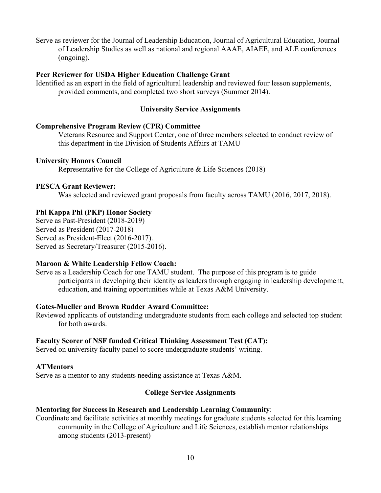Serve as reviewer for the Journal of Leadership Education, Journal of Agricultural Education, Journal of Leadership Studies as well as national and regional AAAE, AIAEE, and ALE conferences (ongoing).

#### **Peer Reviewer for USDA Higher Education Challenge Grant**

Identified as an expert in the field of agricultural leadership and reviewed four lesson supplements, provided comments, and completed two short surveys (Summer 2014).

# **University Service Assignments**

#### **Comprehensive Program Review (CPR) Committee**

Veterans Resource and Support Center, one of three members selected to conduct review of this department in the Division of Students Affairs at TAMU

#### **University Honors Council**

Representative for the College of Agriculture & Life Sciences (2018)

#### **PESCA Grant Reviewer:**

Was selected and reviewed grant proposals from faculty across TAMU (2016, 2017, 2018).

#### **Phi Kappa Phi (PKP) Honor Society**

Serve as Past-President (2018-2019) Served as President (2017-2018) Served as President-Elect (2016-2017). Served as Secretary/Treasurer (2015-2016).

#### **Maroon & White Leadership Fellow Coach:**

Serve as a Leadership Coach for one TAMU student. The purpose of this program is to guide participants in developing their identity as leaders through engaging in leadership development, education, and training opportunities while at Texas A&M University.

#### **Gates-Mueller and Brown Rudder Award Committee:**

Reviewed applicants of outstanding undergraduate students from each college and selected top student for both awards.

#### **Faculty Scorer of NSF funded Critical Thinking Assessment Test (CAT):**

Served on university faculty panel to score undergraduate students' writing.

#### **ATMentors**

Serve as a mentor to any students needing assistance at Texas A&M.

#### **College Service Assignments**

#### **Mentoring for Success in Research and Leadership Learning Community**:

Coordinate and facilitate activities at monthly meetings for graduate students selected for this learning community in the College of Agriculture and Life Sciences, establish mentor relationships among students (2013-present)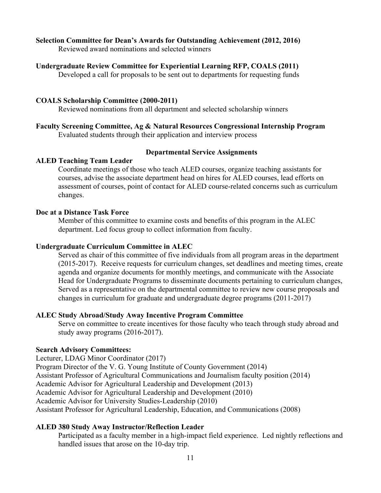#### **Selection Committee for Dean's Awards for Outstanding Achievement (2012, 2016)**

Reviewed award nominations and selected winners

#### **Undergraduate Review Committee for Experiential Learning RFP, COALS (2011)**

Developed a call for proposals to be sent out to departments for requesting funds

#### **COALS Scholarship Committee (2000-2011)**

Reviewed nominations from all department and selected scholarship winners

# **Faculty Screening Committee, Ag & Natural Resources Congressional Internship Program**

Evaluated students through their application and interview process

### **Departmental Service Assignments**

# **ALED Teaching Team Leader**

Coordinate meetings of those who teach ALED courses, organize teaching assistants for courses, advise the associate department head on hires for ALED courses, lead efforts on assessment of courses, point of contact for ALED course-related concerns such as curriculum changes.

# **Doc at a Distance Task Force**

Member of this committee to examine costs and benefits of this program in the ALEC department. Led focus group to collect information from faculty.

#### **Undergraduate Curriculum Committee in ALEC**

Served as chair of this committee of five individuals from all program areas in the department (2015-2017). Receive requests for curriculum changes, set deadlines and meeting times, create agenda and organize documents for monthly meetings, and communicate with the Associate Head for Undergraduate Programs to disseminate documents pertaining to curriculum changes, Served as a representative on the departmental committee to review new course proposals and changes in curriculum for graduate and undergraduate degree programs (2011-2017)

#### **ALEC Study Abroad/Study Away Incentive Program Committee**

Serve on committee to create incentives for those faculty who teach through study abroad and study away programs (2016-2017).

# **Search Advisory Committees:**

Lecturer, LDAG Minor Coordinator (2017) Program Director of the V. G. Young Institute of County Government (2014) Assistant Professor of Agricultural Communications and Journalism faculty position (2014) Academic Advisor for Agricultural Leadership and Development (2013) Academic Advisor for Agricultural Leadership and Development (2010) Academic Advisor for University Studies-Leadership (2010) Assistant Professor for Agricultural Leadership, Education, and Communications (2008)

#### **ALED 380 Study Away Instructor/Reflection Leader**

Participated as a faculty member in a high-impact field experience. Led nightly reflections and handled issues that arose on the 10-day trip.